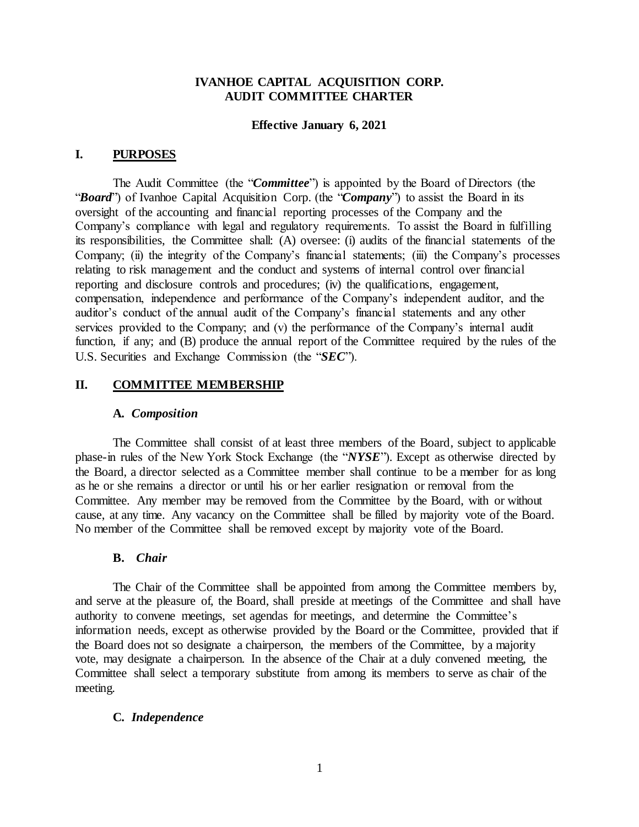# **IVANHOE CAPITAL ACQUISITION CORP. AUDIT COMMITTEE CHARTER**

### **Effective January 6, 2021**

### **I. PURPOSES**

The Audit Committee (the "*Committee*") is appointed by the Board of Directors (the "*Board*") of Ivanhoe Capital Acquisition Corp. (the "*Company*") to assist the Board in its oversight of the accounting and financial reporting processes of the Company and the Company's compliance with legal and regulatory requirements. To assist the Board in fulfilling its responsibilities, the Committee shall: (A) oversee: (i) audits of the financial statements of the Company; (ii) the integrity of the Company's financial statements; (iii) the Company's processes relating to risk management and the conduct and systems of internal control over financial reporting and disclosure controls and procedures; (iv) the qualifications, engagement, compensation, independence and performance of the Company's independent auditor, and the auditor's conduct of the annual audit of the Company's financial statements and any other services provided to the Company; and (v) the performance of the Company's internal audit function, if any; and (B) produce the annual report of the Committee required by the rules of the U.S. Securities and Exchange Commission (the "*SEC*").

## **II. COMMITTEE MEMBERSHIP**

#### **A.** *Composition*

The Committee shall consist of at least three members of the Board, subject to applicable phase-in rules of the New York Stock Exchange (the "*NYSE*"). Except as otherwise directed by the Board, a director selected as a Committee member shall continue to be a member for as long as he or she remains a director or until his or her earlier resignation or removal from the Committee. Any member may be removed from the Committee by the Board, with or without cause, at any time. Any vacancy on the Committee shall be filled by majority vote of the Board. No member of the Committee shall be removed except by majority vote of the Board.

### **B.** *Chair*

The Chair of the Committee shall be appointed from among the Committee members by, and serve at the pleasure of, the Board, shall preside at meetings of the Committee and shall have authority to convene meetings, set agendas for meetings, and determine the Committee's information needs, except as otherwise provided by the Board or the Committee, provided that if the Board does not so designate a chairperson, the members of the Committee, by a majority vote, may designate a chairperson. In the absence of the Chair at a duly convened meeting, the Committee shall select a temporary substitute from among its members to serve as chair of the meeting.

## **C.** *Independence*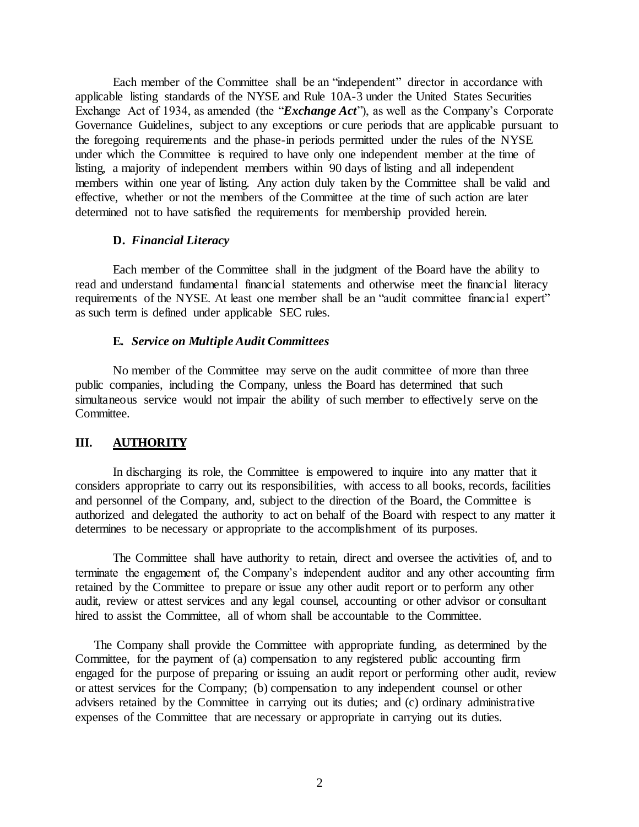Each member of the Committee shall be an "independent" director in accordance with applicable listing standards of the NYSE and Rule 10A-3 under the United States Securities Exchange Act of 1934, as amended (the "*Exchange Act*"), as well as the Company's Corporate Governance Guidelines, subject to any exceptions or cure periods that are applicable pursuant to the foregoing requirements and the phase-in periods permitted under the rules of the NYSE under which the Committee is required to have only one independent member at the time of listing, a majority of independent members within 90 days of listing and all independent members within one year of listing. Any action duly taken by the Committee shall be valid and effective, whether or not the members of the Committee at the time of such action are later determined not to have satisfied the requirements for membership provided herein.

## **D.** *Financial Literacy*

Each member of the Committee shall in the judgment of the Board have the ability to read and understand fundamental financial statements and otherwise meet the financial literacy requirements of the NYSE. At least one member shall be an "audit committee financial expert" as such term is defined under applicable SEC rules.

### **E.** *Service on Multiple Audit Committees*

No member of the Committee may serve on the audit committee of more than three public companies, including the Company, unless the Board has determined that such simultaneous service would not impair the ability of such member to effectively serve on the Committee.

# **III. AUTHORITY**

In discharging its role, the Committee is empowered to inquire into any matter that it considers appropriate to carry out its responsibilities, with access to all books, records, facilities and personnel of the Company, and, subject to the direction of the Board, the Committee is authorized and delegated the authority to act on behalf of the Board with respect to any matter it determines to be necessary or appropriate to the accomplishment of its purposes.

The Committee shall have authority to retain, direct and oversee the activities of, and to terminate the engagement of, the Company's independent auditor and any other accounting firm retained by the Committee to prepare or issue any other audit report or to perform any other audit, review or attest services and any legal counsel, accounting or other advisor or consultant hired to assist the Committee, all of whom shall be accountable to the Committee.

The Company shall provide the Committee with appropriate funding, as determined by the Committee, for the payment of (a) compensation to any registered public accounting firm engaged for the purpose of preparing or issuing an audit report or performing other audit, review or attest services for the Company; (b) compensation to any independent counsel or other advisers retained by the Committee in carrying out its duties; and (c) ordinary administrative expenses of the Committee that are necessary or appropriate in carrying out its duties.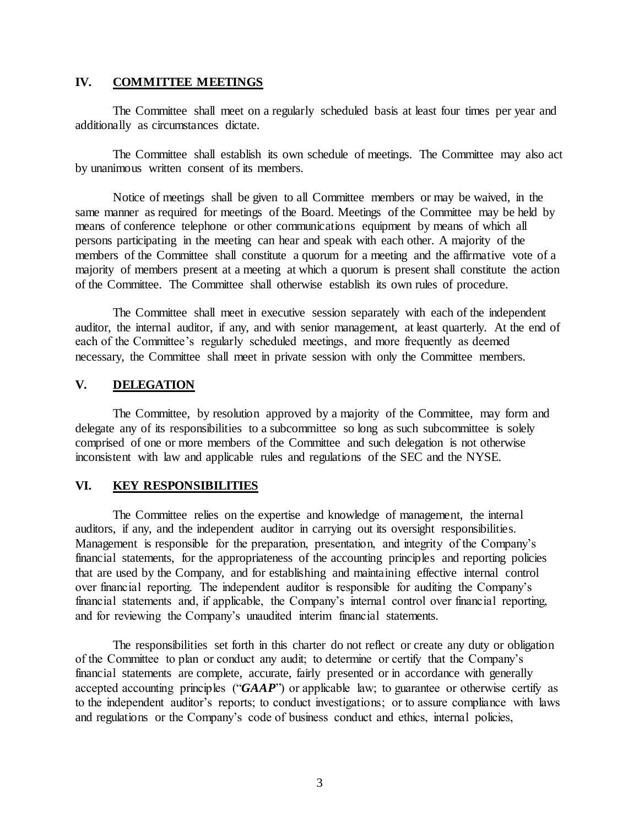# **IV. COMMITTEE MEETINGS**

The Committee shall meet on a regularly scheduled basis at least four times per year and additionally as circumstances dictate.

The Committee shall establish its own schedule of meetings. The Committee may also act by unanimous written consent of its members.

Notice of meetings shall be given to all Committee members or may be waived, in the same manner as required for meetings of the Board. Meetings of the Committee may be held by means of conference telephone or other communications equipment by means of which all persons participating in the meeting can hear and speak with each other. A majority of the members of the Committee shall constitute a quorum for a meeting and the affirmative vote of a majority of members present at a meeting at which a quorum is present shall constitute the action of the Committee. The Committee shall otherwise establish its own rules of procedure.

The Committee shall meet in executive session separately with each of the independent auditor, the internal auditor, if any, and with senior management, at least quarterly. At the end of each of the Committee's regularly scheduled meetings, and more frequently as deemed necessary, the Committee shall meet in private session with only the Committee members.

## **V. DELEGATION**

The Committee, by resolution approved by a majority of the Committee, may form and delegate any of its responsibilities to a subcommittee so long as such subcommittee is solely comprised of one or more members of the Committee and such delegation is not otherwise inconsistent with law and applicable rules and regulations of the SEC and the NYSE.

### **VI. KEY RESPONSIBILITIES**

The Committee relies on the expertise and knowledge of management, the internal auditors, if any, and the independent auditor in carrying out its oversight responsibilities. Management is responsible for the preparation, presentation, and integrity of the Company's financial statements, for the appropriateness of the accounting principles and reporting policies that are used by the Company, and for establishing and maintaining effective internal control over financial reporting. The independent auditor is responsible for auditing the Company's financial statements and, if applicable, the Company's internal control over financial reporting, and for reviewing the Company's unaudited interim financial statements.

The responsibilities set forth in this charter do not reflect or create any duty or obligation of the Committee to plan or conduct any audit; to determine or certify that the Company's financial statements are complete, accurate, fairly presented or in accordance with generally accepted accounting principles ("*GAAP*") or applicable law; to guarantee or otherwise certify as to the independent auditor's reports; to conduct investigations; or to assure compliance with laws and regulations or the Company's code of business conduct and ethics, internal policies,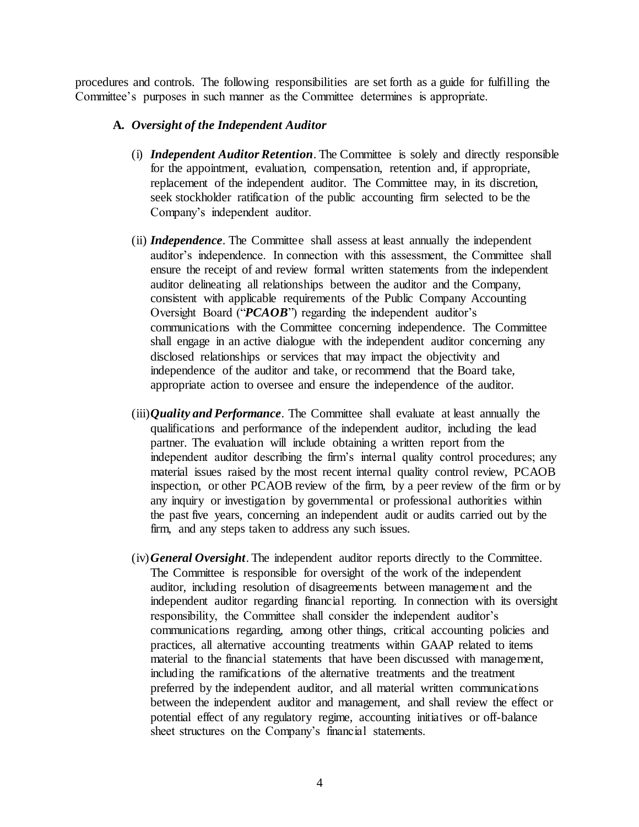procedures and controls. The following responsibilities are set forth as a guide for fulfilling the Committee's purposes in such manner as the Committee determines is appropriate.

# **A.** *Oversight of the Independent Auditor*

- (i) *Independent Auditor Retention*. The Committee is solely and directly responsible for the appointment, evaluation, compensation, retention and, if appropriate, replacement of the independent auditor. The Committee may, in its discretion, seek stockholder ratification of the public accounting firm selected to be the Company's independent auditor.
- (ii) *Independence*. The Committee shall assess at least annually the independent auditor's independence. In connection with this assessment, the Committee shall ensure the receipt of and review formal written statements from the independent auditor delineating all relationships between the auditor and the Company, consistent with applicable requirements of the Public Company Accounting Oversight Board ("*PCAOB*") regarding the independent auditor's communications with the Committee concerning independence. The Committee shall engage in an active dialogue with the independent auditor concerning any disclosed relationships or services that may impact the objectivity and independence of the auditor and take, or recommend that the Board take, appropriate action to oversee and ensure the independence of the auditor.
- (iii)*Quality and Performance*. The Committee shall evaluate at least annually the qualifications and performance of the independent auditor, including the lead partner. The evaluation will include obtaining a written report from the independent auditor describing the firm's internal quality control procedures; any material issues raised by the most recent internal quality control review, PCAOB inspection, or other PCAOB review of the firm, by a peer review of the firm or by any inquiry or investigation by governmental or professional authorities within the past five years, concerning an independent audit or audits carried out by the firm, and any steps taken to address any such issues.
- (iv)*General Oversight*. The independent auditor reports directly to the Committee. The Committee is responsible for oversight of the work of the independent auditor, including resolution of disagreements between management and the independent auditor regarding financial reporting. In connection with its oversight responsibility, the Committee shall consider the independent auditor's communications regarding, among other things, critical accounting policies and practices, all alternative accounting treatments within GAAP related to items material to the financial statements that have been discussed with management, including the ramifications of the alternative treatments and the treatment preferred by the independent auditor, and all material written communications between the independent auditor and management, and shall review the effect or potential effect of any regulatory regime, accounting initiatives or off-balance sheet structures on the Company's financial statements.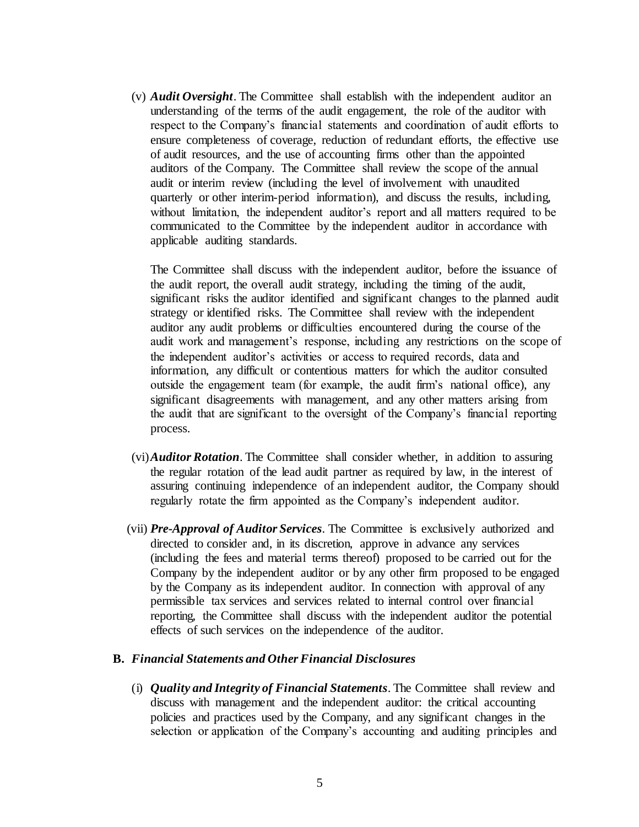(v) *Audit Oversight*. The Committee shall establish with the independent auditor an understanding of the terms of the audit engagement, the role of the auditor with respect to the Company's financial statements and coordination of audit efforts to ensure completeness of coverage, reduction of redundant efforts, the effective use of audit resources, and the use of accounting firms other than the appointed auditors of the Company. The Committee shall review the scope of the annual audit or interim review (including the level of involvement with unaudited quarterly or other interim-period information), and discuss the results, including, without limitation, the independent auditor's report and all matters required to be communicated to the Committee by the independent auditor in accordance with applicable auditing standards.

The Committee shall discuss with the independent auditor, before the issuance of the audit report, the overall audit strategy, including the timing of the audit, significant risks the auditor identified and significant changes to the planned audit strategy or identified risks. The Committee shall review with the independent auditor any audit problems or difficulties encountered during the course of the audit work and management's response, including any restrictions on the scope of the independent auditor's activities or access to required records, data and information, any difficult or contentious matters for which the auditor consulted outside the engagement team (for example, the audit firm's national office), any significant disagreements with management, and any other matters arising from the audit that are significant to the oversight of the Company's financial reporting process.

- (vi)*Auditor Rotation*. The Committee shall consider whether, in addition to assuring the regular rotation of the lead audit partner as required by law, in the interest of assuring continuing independence of an independent auditor, the Company should regularly rotate the firm appointed as the Company's independent auditor.
- (vii) *Pre-Approval of Auditor Services*. The Committee is exclusively authorized and directed to consider and, in its discretion, approve in advance any services (including the fees and material terms thereof) proposed to be carried out for the Company by the independent auditor or by any other firm proposed to be engaged by the Company as its independent auditor. In connection with approval of any permissible tax services and services related to internal control over financial reporting, the Committee shall discuss with the independent auditor the potential effects of such services on the independence of the auditor.

#### **B.** *Financial Statements and Other Financial Disclosures*

(i) *Quality and Integrity of Financial Statements*. The Committee shall review and discuss with management and the independent auditor: the critical accounting policies and practices used by the Company, and any significant changes in the selection or application of the Company's accounting and auditing principles and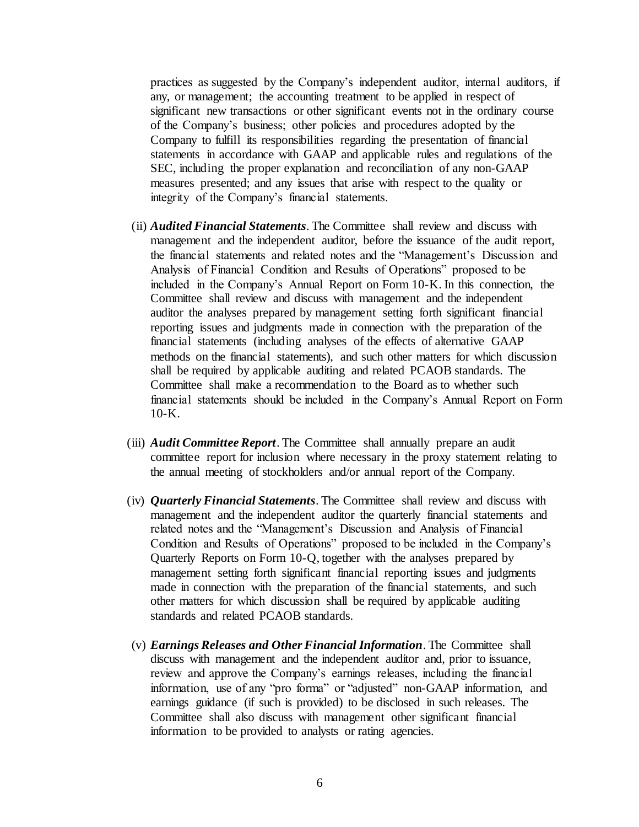practices as suggested by the Company's independent auditor, internal auditors, if any, or management; the accounting treatment to be applied in respect of significant new transactions or other significant events not in the ordinary course of the Company's business; other policies and procedures adopted by the Company to fulfill its responsibilities regarding the presentation of financial statements in accordance with GAAP and applicable rules and regulations of the SEC, including the proper explanation and reconciliation of any non-GAAP measures presented; and any issues that arise with respect to the quality or integrity of the Company's financial statements.

- (ii) *Audited Financial Statements*. The Committee shall review and discuss with management and the independent auditor, before the issuance of the audit report, the financial statements and related notes and the "Management's Discussion and Analysis of Financial Condition and Results of Operations" proposed to be included in the Company's Annual Report on Form 10-K. In this connection, the Committee shall review and discuss with management and the independent auditor the analyses prepared by management setting forth significant financial reporting issues and judgments made in connection with the preparation of the financial statements (including analyses of the effects of alternative GAAP methods on the financial statements), and such other matters for which discussion shall be required by applicable auditing and related PCAOB standards. The Committee shall make a recommendation to the Board as to whether such financial statements should be included in the Company's Annual Report on Form  $10-K$ .
- (iii) *Audit Committee Report*. The Committee shall annually prepare an audit committee report for inclusion where necessary in the proxy statement relating to the annual meeting of stockholders and/or annual report of the Company.
- (iv) *Quarterly Financial Statements*. The Committee shall review and discuss with management and the independent auditor the quarterly financial statements and related notes and the "Management's Discussion and Analysis of Financial Condition and Results of Operations" proposed to be included in the Company's Quarterly Reports on Form 10-Q, together with the analyses prepared by management setting forth significant financial reporting issues and judgments made in connection with the preparation of the financial statements, and such other matters for which discussion shall be required by applicable auditing standards and related PCAOB standards.
- (v) *Earnings Releases and Other Financial Information*. The Committee shall discuss with management and the independent auditor and, prior to issuance, review and approve the Company's earnings releases, including the financial information, use of any "pro forma" or "adjusted" non-GAAP information, and earnings guidance (if such is provided) to be disclosed in such releases. The Committee shall also discuss with management other significant financial information to be provided to analysts or rating agencies.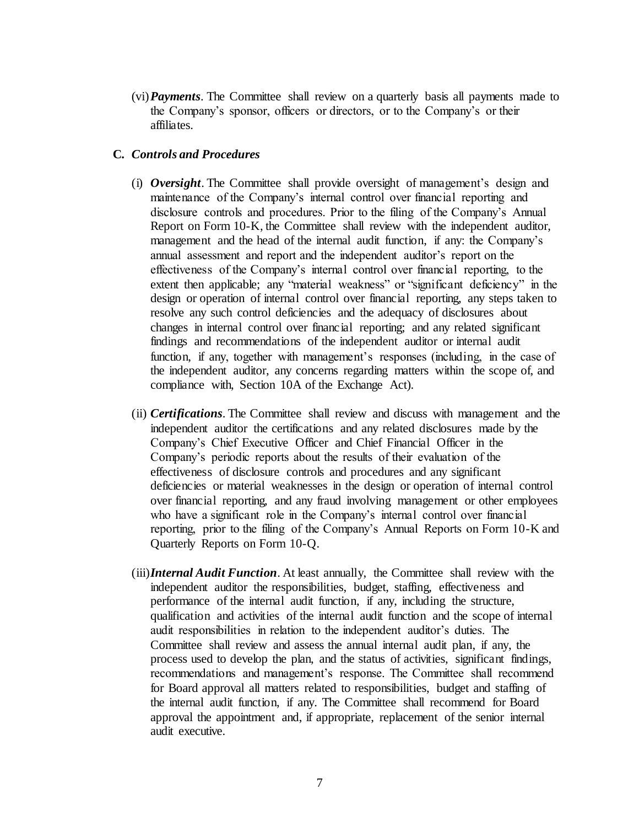(vi)*Payments*. The Committee shall review on a quarterly basis all payments made to the Company's sponsor, officers or directors, or to the Company's or their affiliates.

# **C.** *Controls and Procedures*

- (i) *Oversight*. The Committee shall provide oversight of management's design and maintenance of the Company's internal control over financial reporting and disclosure controls and procedures. Prior to the filing of the Company's Annual Report on Form 10-K, the Committee shall review with the independent auditor, management and the head of the internal audit function, if any: the Company's annual assessment and report and the independent auditor's report on the effectiveness of the Company's internal control over financial reporting, to the extent then applicable; any "material weakness" or "significant deficiency" in the design or operation of internal control over financial reporting, any steps taken to resolve any such control deficiencies and the adequacy of disclosures about changes in internal control over financial reporting; and any related significant findings and recommendations of the independent auditor or internal audit function, if any, together with management's responses (including, in the case of the independent auditor, any concerns regarding matters within the scope of, and compliance with, Section 10A of the Exchange Act).
- (ii) *Certifications*. The Committee shall review and discuss with management and the independent auditor the certifications and any related disclosures made by the Company's Chief Executive Officer and Chief Financial Officer in the Company's periodic reports about the results of their evaluation of the effectiveness of disclosure controls and procedures and any significant deficiencies or material weaknesses in the design or operation of internal control over financial reporting, and any fraud involving management or other employees who have a significant role in the Company's internal control over financial reporting, prior to the filing of the Company's Annual Reports on Form 10-K and Quarterly Reports on Form 10-Q.
- (iii)*Internal Audit Function*. At least annually, the Committee shall review with the independent auditor the responsibilities, budget, staffing, effectiveness and performance of the internal audit function, if any, including the structure, qualification and activities of the internal audit function and the scope of internal audit responsibilities in relation to the independent auditor's duties. The Committee shall review and assess the annual internal audit plan, if any, the process used to develop the plan, and the status of activities, significant findings, recommendations and management's response. The Committee shall recommend for Board approval all matters related to responsibilities, budget and staffing of the internal audit function, if any. The Committee shall recommend for Board approval the appointment and, if appropriate, replacement of the senior internal audit executive.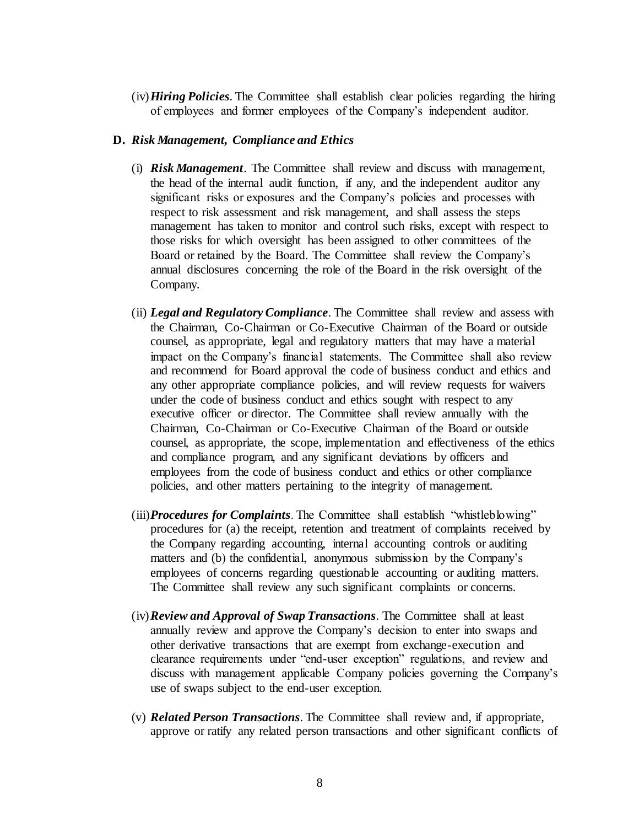(iv)*Hiring Policies*. The Committee shall establish clear policies regarding the hiring of employees and former employees of the Company's independent auditor.

# **D.** *Risk Management, Compliance and Ethics*

- (i) *Risk Management*. The Committee shall review and discuss with management, the head of the internal audit function, if any, and the independent auditor any significant risks or exposures and the Company's policies and processes with respect to risk assessment and risk management, and shall assess the steps management has taken to monitor and control such risks, except with respect to those risks for which oversight has been assigned to other committees of the Board or retained by the Board. The Committee shall review the Company's annual disclosures concerning the role of the Board in the risk oversight of the Company.
- (ii) *Legal and Regulatory Compliance*. The Committee shall review and assess with the Chairman, Co-Chairman or Co-Executive Chairman of the Board or outside counsel, as appropriate, legal and regulatory matters that may have a material impact on the Company's financial statements. The Committee shall also review and recommend for Board approval the code of business conduct and ethics and any other appropriate compliance policies, and will review requests for waivers under the code of business conduct and ethics sought with respect to any executive officer or director. The Committee shall review annually with the Chairman, Co-Chairman or Co-Executive Chairman of the Board or outside counsel, as appropriate, the scope, implementation and effectiveness of the ethics and compliance program, and any significant deviations by officers and employees from the code of business conduct and ethics or other compliance policies, and other matters pertaining to the integrity of management.
- (iii)*Procedures for Complaints*. The Committee shall establish "whistleblowing" procedures for (a) the receipt, retention and treatment of complaints received by the Company regarding accounting, internal accounting controls or auditing matters and (b) the confidential, anonymous submission by the Company's employees of concerns regarding questionable accounting or auditing matters. The Committee shall review any such significant complaints or concerns.
- (iv)*Review and Approval of Swap Transactions*. The Committee shall at least annually review and approve the Company's decision to enter into swaps and other derivative transactions that are exempt from exchange-execution and clearance requirements under "end-user exception" regulations, and review and discuss with management applicable Company policies governing the Company's use of swaps subject to the end-user exception.
- (v) *Related Person Transactions*. The Committee shall review and, if appropriate, approve or ratify any related person transactions and other significant conflicts of